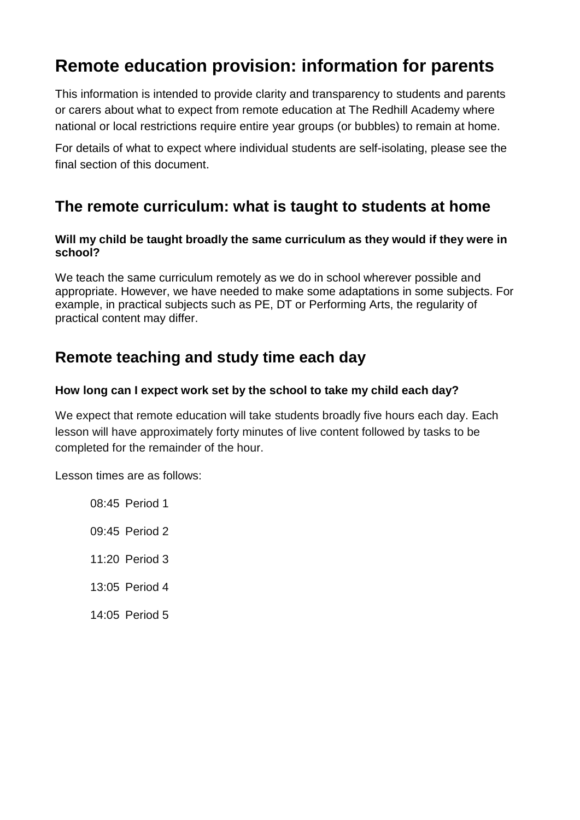# **Remote education provision: information for parents**

This information is intended to provide clarity and transparency to students and parents or carers about what to expect from remote education at The Redhill Academy where national or local restrictions require entire year groups (or bubbles) to remain at home.

For details of what to expect where individual students are self-isolating, please see the final section of this document.

### **The remote curriculum: what is taught to students at home**

#### **Will my child be taught broadly the same curriculum as they would if they were in school?**

We teach the same curriculum remotely as we do in school wherever possible and appropriate. However, we have needed to make some adaptations in some subjects. For example, in practical subjects such as PE, DT or Performing Arts, the regularity of practical content may differ.

### **Remote teaching and study time each day**

### **How long can I expect work set by the school to take my child each day?**

We expect that remote education will take students broadly five hours each day. Each lesson will have approximately forty minutes of live content followed by tasks to be completed for the remainder of the hour.

Lesson times are as follows:

08:45 Period 1 09:45 Period 2 11:20 Period 3 13:05 Period 4 14:05 Period 5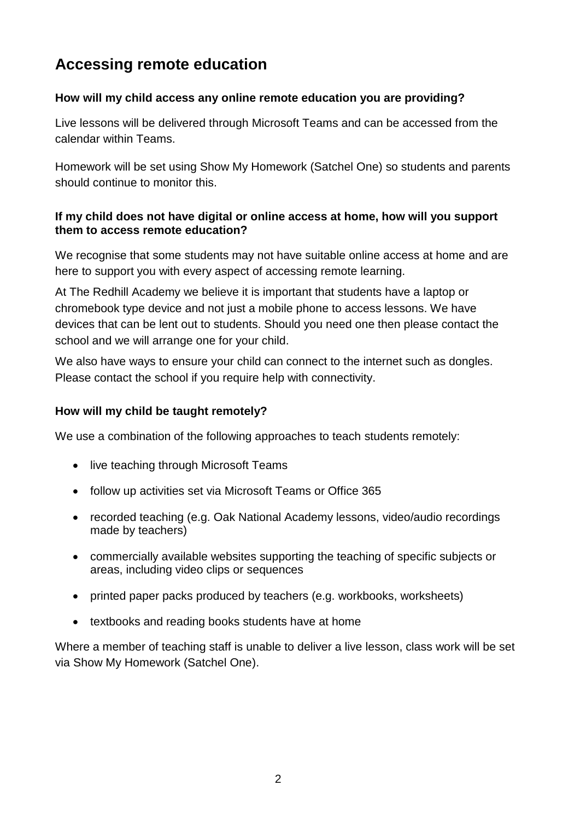# **Accessing remote education**

### **How will my child access any online remote education you are providing?**

Live lessons will be delivered through Microsoft Teams and can be accessed from the calendar within Teams.

Homework will be set using Show My Homework (Satchel One) so students and parents should continue to monitor this.

### **If my child does not have digital or online access at home, how will you support them to access remote education?**

We recognise that some students may not have suitable online access at home and are here to support you with every aspect of accessing remote learning.

At The Redhill Academy we believe it is important that students have a laptop or chromebook type device and not just a mobile phone to access lessons. We have devices that can be lent out to students. Should you need one then please contact the school and we will arrange one for your child.

We also have ways to ensure your child can connect to the internet such as dongles. Please contact the school if you require help with connectivity.

### **How will my child be taught remotely?**

We use a combination of the following approaches to teach students remotely:

- live teaching through Microsoft Teams
- follow up activities set via Microsoft Teams or Office 365
- recorded teaching (e.g. Oak National Academy lessons, video/audio recordings made by teachers)
- commercially available websites supporting the teaching of specific subjects or areas, including video clips or sequences
- printed paper packs produced by teachers (e.g. workbooks, worksheets)
- textbooks and reading books students have at home

Where a member of teaching staff is unable to deliver a live lesson, class work will be set via Show My Homework (Satchel One).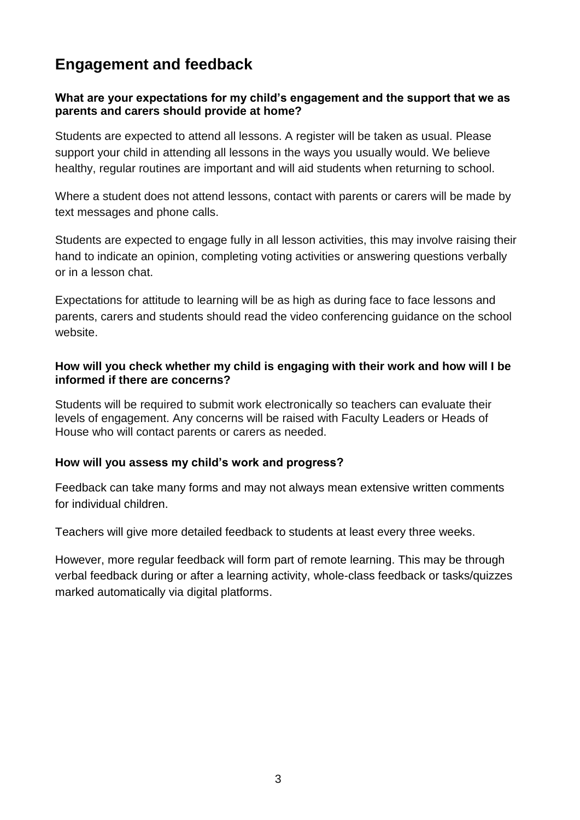## **Engagement and feedback**

### **What are your expectations for my child's engagement and the support that we as parents and carers should provide at home?**

Students are expected to attend all lessons. A register will be taken as usual. Please support your child in attending all lessons in the ways you usually would. We believe healthy, regular routines are important and will aid students when returning to school.

Where a student does not attend lessons, contact with parents or carers will be made by text messages and phone calls.

Students are expected to engage fully in all lesson activities, this may involve raising their hand to indicate an opinion, completing voting activities or answering questions verbally or in a lesson chat.

Expectations for attitude to learning will be as high as during face to face lessons and parents, carers and students should read the video conferencing guidance on the school website.

### **How will you check whether my child is engaging with their work and how will I be informed if there are concerns?**

Students will be required to submit work electronically so teachers can evaluate their levels of engagement. Any concerns will be raised with Faculty Leaders or Heads of House who will contact parents or carers as needed.

### **How will you assess my child's work and progress?**

Feedback can take many forms and may not always mean extensive written comments for individual children.

Teachers will give more detailed feedback to students at least every three weeks.

However, more regular feedback will form part of remote learning. This may be through verbal feedback during or after a learning activity, whole-class feedback or tasks/quizzes marked automatically via digital platforms.